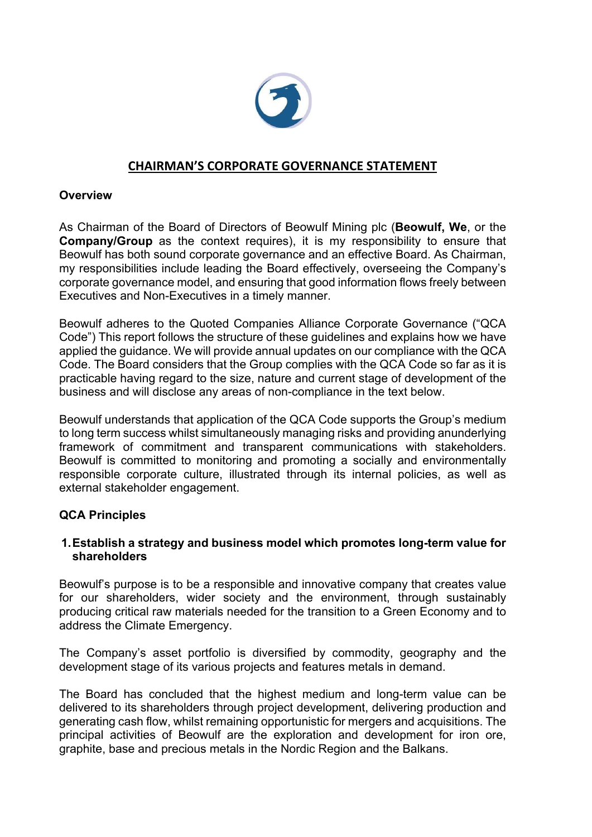

# **CHAIRMAN'S CORPORATE GOVERNANCE STATEMENT**

## **Overview**

As Chairman of the Board of Directors of Beowulf Mining plc (**Beowulf, We**, or the **Company/Group** as the context requires), it is my responsibility to ensure that Beowulf has both sound corporate governance and an effective Board. As Chairman, my responsibilities include leading the Board effectively, overseeing the Company's corporate governance model, and ensuring that good information flows freely between Executives and Non-Executives in a timely manner.

Beowulf adheres to the Quoted Companies Alliance Corporate Governance ("QCA Code") This report follows the structure of these guidelines and explains how we have applied the guidance. We will provide annual updates on our compliance with the QCA Code. The Board considers that the Group complies with the QCA Code so far as it is practicable having regard to the size, nature and current stage of development of the business and will disclose any areas of non-compliance in the text below.

Beowulf understands that application of the QCA Code supports the Group's medium to long term success whilst simultaneously managing risks and providing anunderlying framework of commitment and transparent communications with stakeholders. Beowulf is committed to monitoring and promoting a socially and environmentally responsible corporate culture, illustrated through its internal policies, as well as external stakeholder engagement.

## **QCA Principles**

### **1.Establish a strategy and business model which promotes long-term value for shareholders**

Beowulf's purpose is to be a responsible and innovative company that creates value for our shareholders, wider society and the environment, through sustainably producing critical raw materials needed for the transition to a Green Economy and to address the Climate Emergency.

The Company's asset portfolio is diversified by commodity, geography and the development stage of its various projects and features metals in demand.

The Board has concluded that the highest medium and long-term value can be delivered to its shareholders through project development, delivering production and generating cash flow, whilst remaining opportunistic for mergers and acquisitions. The principal activities of Beowulf are the exploration and development for iron ore, graphite, base and precious metals in the Nordic Region and the Balkans.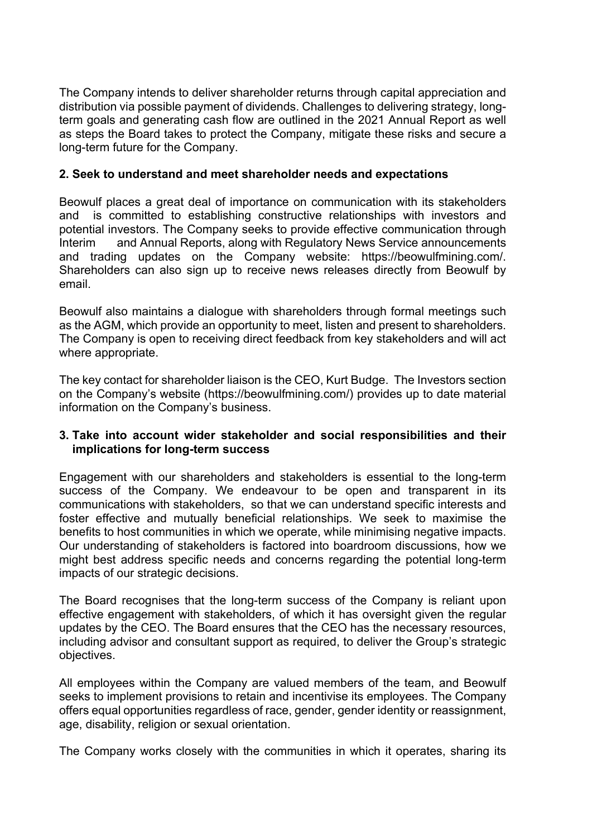The Company intends to deliver shareholder returns through capital appreciation and distribution via possible payment of dividends. Challenges to delivering strategy, longterm goals and generating cash flow are outlined in the 2021 Annual Report as well as steps the Board takes to protect the Company, mitigate these risks and secure a long-term future for the Company.

## **2. Seek to understand and meet shareholder needs and expectations**

Beowulf places a great deal of importance on communication with its stakeholders and is committed to establishing constructive relationships with investors and potential investors. The Company seeks to provide effective communication through Interim and Annual Reports, along with Regulatory News Service announcements and trading updates on the Company website: https://beowulfmining.com/. Shareholders can also sign up to receive news releases directly from Beowulf by email.

Beowulf also maintains a dialogue with shareholders through formal meetings such as the AGM, which provide an opportunity to meet, listen and present to shareholders. The Company is open to receiving direct feedback from key stakeholders and will act where appropriate.

The key contact for shareholder liaison is the CEO, Kurt Budge. The Investors section on the Company's website (https://beowulfmining.com/) provides up to date material information on the Company's business.

### **3. Take into account wider stakeholder and social responsibilities and their implications for long-term success**

Engagement with our shareholders and stakeholders is essential to the long-term success of the Company. We endeavour to be open and transparent in its communications with stakeholders, so that we can understand specific interests and foster effective and mutually beneficial relationships. We seek to maximise the benefits to host communities in which we operate, while minimising negative impacts. Our understanding of stakeholders is factored into boardroom discussions, how we might best address specific needs and concerns regarding the potential long-term impacts of our strategic decisions.

The Board recognises that the long-term success of the Company is reliant upon effective engagement with stakeholders, of which it has oversight given the regular updates by the CEO. The Board ensures that the CEO has the necessary resources, including advisor and consultant support as required, to deliver the Group's strategic objectives.

All employees within the Company are valued members of the team, and Beowulf seeks to implement provisions to retain and incentivise its employees. The Company offers equal opportunities regardless of race, gender, gender identity or reassignment, age, disability, religion or sexual orientation.

The Company works closely with the communities in which it operates, sharing its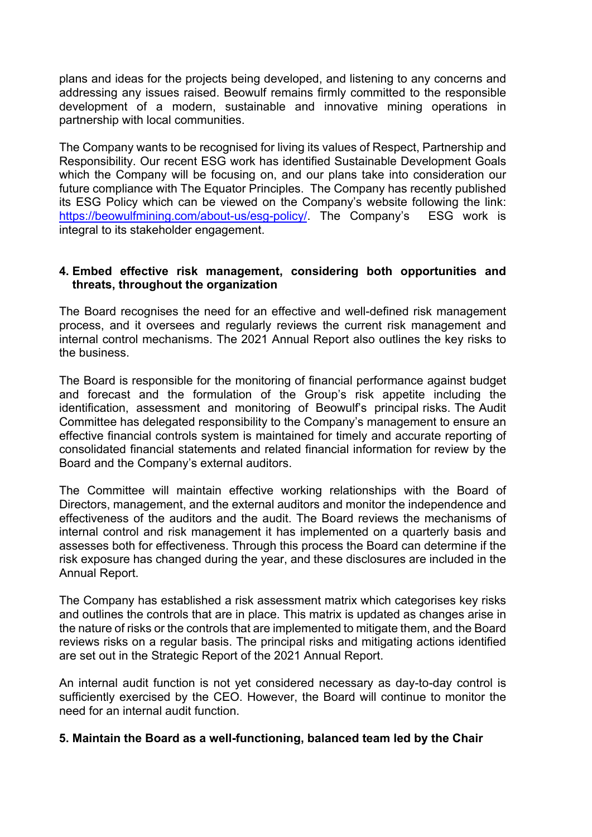plans and ideas for the projects being developed, and listening to any concerns and addressing any issues raised. Beowulf remains firmly committed to the responsible development of a modern, sustainable and innovative mining operations in partnership with local communities.

The Company wants to be recognised for living its values of Respect, Partnership and Responsibility. Our recent ESG work has identified Sustainable Development Goals which the Company will be focusing on, and our plans take into consideration our future compliance with The Equator Principles. The Company has recently published its ESG Policy which can be viewed on the Company's website following the link: https://beowulfmining.com/about-us/esg-policy/. The Company's ESG work is integral to its stakeholder engagement.

## **4. Embed effective risk management, considering both opportunities and threats, throughout the organization**

The Board recognises the need for an effective and well-defined risk management process, and it oversees and regularly reviews the current risk management and internal control mechanisms. The 2021 Annual Report also outlines the key risks to the business.

The Board is responsible for the monitoring of financial performance against budget and forecast and the formulation of the Group's risk appetite including the identification, assessment and monitoring of Beowulf's principal risks. The Audit Committee has delegated responsibility to the Company's management to ensure an effective financial controls system is maintained for timely and accurate reporting of consolidated financial statements and related financial information for review by the Board and the Company's external auditors.

The Committee will maintain effective working relationships with the Board of Directors, management, and the external auditors and monitor the independence and effectiveness of the auditors and the audit. The Board reviews the mechanisms of internal control and risk management it has implemented on a quarterly basis and assesses both for effectiveness. Through this process the Board can determine if the risk exposure has changed during the year, and these disclosures are included in the Annual Report.

The Company has established a risk assessment matrix which categorises key risks and outlines the controls that are in place. This matrix is updated as changes arise in the nature of risks or the controls that are implemented to mitigate them, and the Board reviews risks on a regular basis. The principal risks and mitigating actions identified are set out in the Strategic Report of the 2021 Annual Report.

An internal audit function is not yet considered necessary as day-to-day control is sufficiently exercised by the CEO. However, the Board will continue to monitor the need for an internal audit function.

#### **5. Maintain the Board as a well-functioning, balanced team led by the Chair**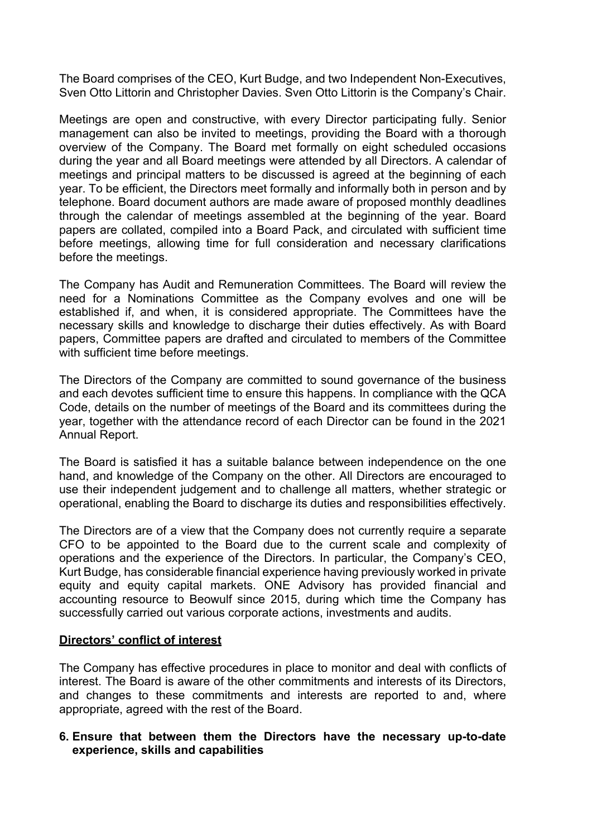The Board comprises of the CEO, Kurt Budge, and two Independent Non-Executives, Sven Otto Littorin and Christopher Davies. Sven Otto Littorin is the Company's Chair.

Meetings are open and constructive, with every Director participating fully. Senior management can also be invited to meetings, providing the Board with a thorough overview of the Company. The Board met formally on eight scheduled occasions during the year and all Board meetings were attended by all Directors. A calendar of meetings and principal matters to be discussed is agreed at the beginning of each year. To be efficient, the Directors meet formally and informally both in person and by telephone. Board document authors are made aware of proposed monthly deadlines through the calendar of meetings assembled at the beginning of the year. Board papers are collated, compiled into a Board Pack, and circulated with sufficient time before meetings, allowing time for full consideration and necessary clarifications before the meetings.

The Company has Audit and Remuneration Committees. The Board will review the need for a Nominations Committee as the Company evolves and one will be established if, and when, it is considered appropriate. The Committees have the necessary skills and knowledge to discharge their duties effectively. As with Board papers, Committee papers are drafted and circulated to members of the Committee with sufficient time before meetings.

The Directors of the Company are committed to sound governance of the business and each devotes sufficient time to ensure this happens. In compliance with the QCA Code, details on the number of meetings of the Board and its committees during the year, together with the attendance record of each Director can be found in the 2021 Annual Report.

The Board is satisfied it has a suitable balance between independence on the one hand, and knowledge of the Company on the other. All Directors are encouraged to use their independent judgement and to challenge all matters, whether strategic or operational, enabling the Board to discharge its duties and responsibilities effectively.

The Directors are of a view that the Company does not currently require a separate CFO to be appointed to the Board due to the current scale and complexity of operations and the experience of the Directors. In particular, the Company's CEO, Kurt Budge, has considerable financial experience having previously worked in private equity and equity capital markets. ONE Advisory has provided financial and accounting resource to Beowulf since 2015, during which time the Company has successfully carried out various corporate actions, investments and audits.

## **Directors' conflict of interest**

The Company has effective procedures in place to monitor and deal with conflicts of interest. The Board is aware of the other commitments and interests of its Directors, and changes to these commitments and interests are reported to and, where appropriate, agreed with the rest of the Board.

### **6. Ensure that between them the Directors have the necessary up-to-date experience, skills and capabilities**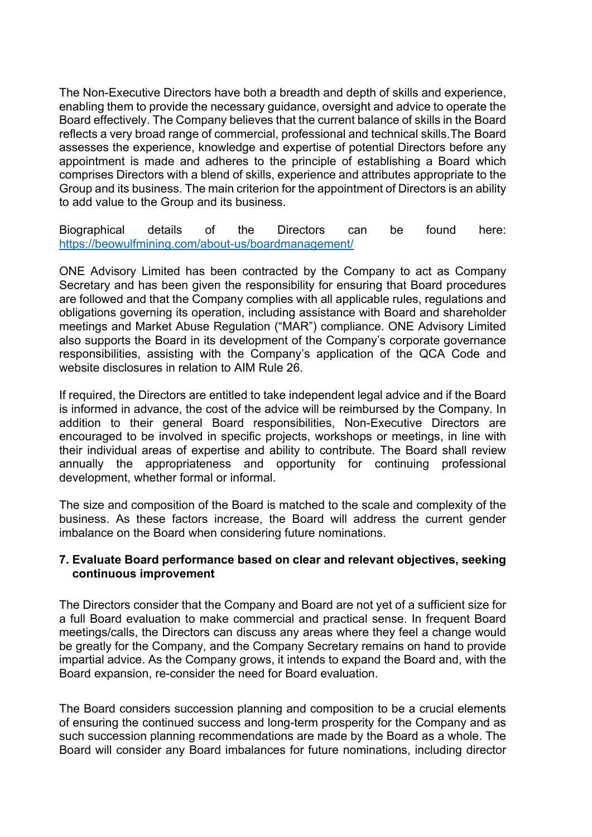The Non-Executive Directors have both a breadth and depth of skills and experience, enabling them to provide the necessary guidance, oversight and advice to operate the Board effectively. The Company believes that the current balance of skills in the Board reflects a very broad range of commercial, professional and technical skills.The Board assesses the experience, knowledge and expertise of potential Directors before any appointment is made and adheres to the principle of establishing a Board which comprises Directors with a blend of skills, experience and attributes appropriate to the Group and its business. The main criterion for the appointment of Directors is an ability to add value to the Group and its business.

Biographical details of the Directors can be found here: https://beowulfmining.com/about-us/boardmanagement/

ONE Advisory Limited has been contracted by the Company to act as Company Secretary and has been given the responsibility for ensuring that Board procedures are followed and that the Company complies with all applicable rules, regulations and obligations governing its operation, including assistance with Board and shareholder meetings and Market Abuse Regulation ("MAR") compliance. ONE Advisory Limited also supports the Board in its development of the Company's corporate governance responsibilities, assisting with the Company's application of the QCA Code and website disclosures in relation to AIM Rule 26.

If required, the Directors are entitled to take independent legal advice and if the Board is informed in advance, the cost of the advice will be reimbursed by the Company. In addition to their general Board responsibilities, Non-Executive Directors are encouraged to be involved in specific projects, workshops or meetings, in line with their individual areas of expertise and ability to contribute. The Board shall review annually the appropriateness and opportunity for continuing professional development, whether formal or informal.

The size and composition of the Board is matched to the scale and complexity of the business. As these factors increase, the Board will address the current gender imbalance on the Board when considering future nominations.

### **7. Evaluate Board performance based on clear and relevant objectives, seeking continuous improvement**

The Directors consider that the Company and Board are not yet of a sufficient size for a full Board evaluation to make commercial and practical sense. In frequent Board meetings/calls, the Directors can discuss any areas where they feel a change would be greatly for the Company, and the Company Secretary remains on hand to provide impartial advice. As the Company grows, it intends to expand the Board and, with the Board expansion, re-consider the need for Board evaluation.

The Board considers succession planning and composition to be a crucial elements of ensuring the continued success and long-term prosperity for the Company and as such succession planning recommendations are made by the Board as a whole. The Board will consider any Board imbalances for future nominations, including director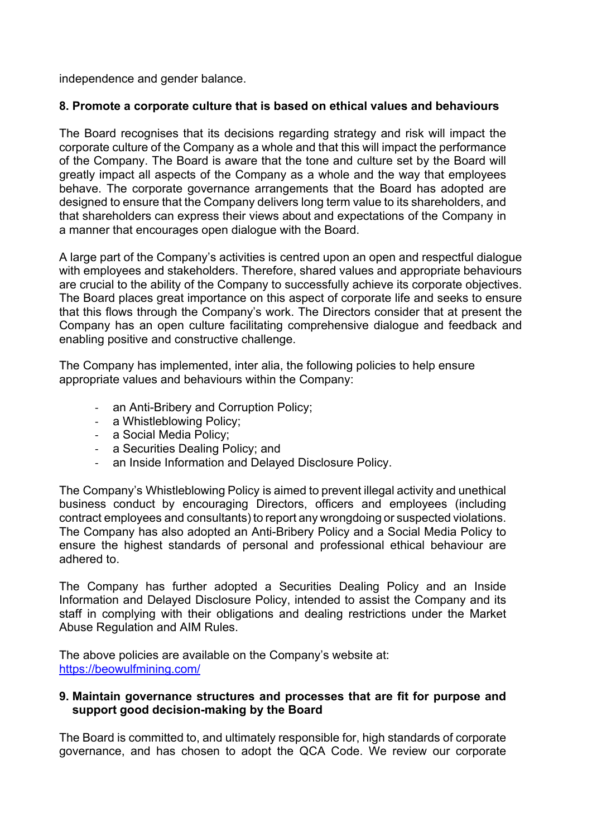independence and gender balance.

# **8. Promote a corporate culture that is based on ethical values and behaviours**

The Board recognises that its decisions regarding strategy and risk will impact the corporate culture of the Company as a whole and that this will impact the performance of the Company. The Board is aware that the tone and culture set by the Board will greatly impact all aspects of the Company as a whole and the way that employees behave. The corporate governance arrangements that the Board has adopted are designed to ensure that the Company delivers long term value to its shareholders, and that shareholders can express their views about and expectations of the Company in a manner that encourages open dialogue with the Board.

A large part of the Company's activities is centred upon an open and respectful dialogue with employees and stakeholders. Therefore, shared values and appropriate behaviours are crucial to the ability of the Company to successfully achieve its corporate objectives. The Board places great importance on this aspect of corporate life and seeks to ensure that this flows through the Company's work. The Directors consider that at present the Company has an open culture facilitating comprehensive dialogue and feedback and enabling positive and constructive challenge.

The Company has implemented, inter alia, the following policies to help ensure appropriate values and behaviours within the Company:

- an Anti-Bribery and Corruption Policy;
- a Whistleblowing Policy;
- a Social Media Policy;
- a Securities Dealing Policy; and
- an Inside Information and Delayed Disclosure Policy.

The Company's Whistleblowing Policy is aimed to prevent illegal activity and unethical business conduct by encouraging Directors, officers and employees (including contract employees and consultants) to report any wrongdoing or suspected violations. The Company has also adopted an Anti-Bribery Policy and a Social Media Policy to ensure the highest standards of personal and professional ethical behaviour are adhered to.

The Company has further adopted a Securities Dealing Policy and an Inside Information and Delayed Disclosure Policy, intended to assist the Company and its staff in complying with their obligations and dealing restrictions under the Market Abuse Regulation and AIM Rules.

The above policies are available on the Company's website at: https://beowulfmining.com/

## **9. Maintain governance structures and processes that are fit for purpose and support good decision-making by the Board**

The Board is committed to, and ultimately responsible for, high standards of corporate governance, and has chosen to adopt the QCA Code. We review our corporate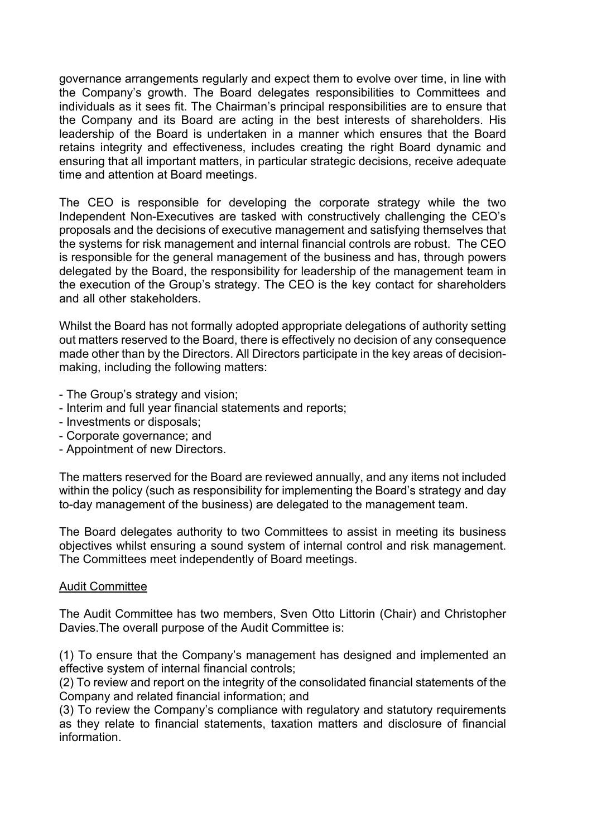governance arrangements regularly and expect them to evolve over time, in line with the Company's growth. The Board delegates responsibilities to Committees and individuals as it sees fit. The Chairman's principal responsibilities are to ensure that the Company and its Board are acting in the best interests of shareholders. His leadership of the Board is undertaken in a manner which ensures that the Board retains integrity and effectiveness, includes creating the right Board dynamic and ensuring that all important matters, in particular strategic decisions, receive adequate time and attention at Board meetings.

The CEO is responsible for developing the corporate strategy while the two Independent Non-Executives are tasked with constructively challenging the CEO's proposals and the decisions of executive management and satisfying themselves that the systems for risk management and internal financial controls are robust. The CEO is responsible for the general management of the business and has, through powers delegated by the Board, the responsibility for leadership of the management team in the execution of the Group's strategy. The CEO is the key contact for shareholders and all other stakeholders.

Whilst the Board has not formally adopted appropriate delegations of authority setting out matters reserved to the Board, there is effectively no decision of any consequence made other than by the Directors. All Directors participate in the key areas of decisionmaking, including the following matters:

- The Group's strategy and vision;
- Interim and full year financial statements and reports;
- Investments or disposals;
- Corporate governance; and
- Appointment of new Directors.

The matters reserved for the Board are reviewed annually, and any items not included within the policy (such as responsibility for implementing the Board's strategy and day to-day management of the business) are delegated to the management team.

The Board delegates authority to two Committees to assist in meeting its business objectives whilst ensuring a sound system of internal control and risk management. The Committees meet independently of Board meetings.

#### Audit Committee

The Audit Committee has two members, Sven Otto Littorin (Chair) and Christopher Davies.The overall purpose of the Audit Committee is:

(1) To ensure that the Company's management has designed and implemented an effective system of internal financial controls;

(2) To review and report on the integrity of the consolidated financial statements of the Company and related financial information; and

(3) To review the Company's compliance with regulatory and statutory requirements as they relate to financial statements, taxation matters and disclosure of financial information.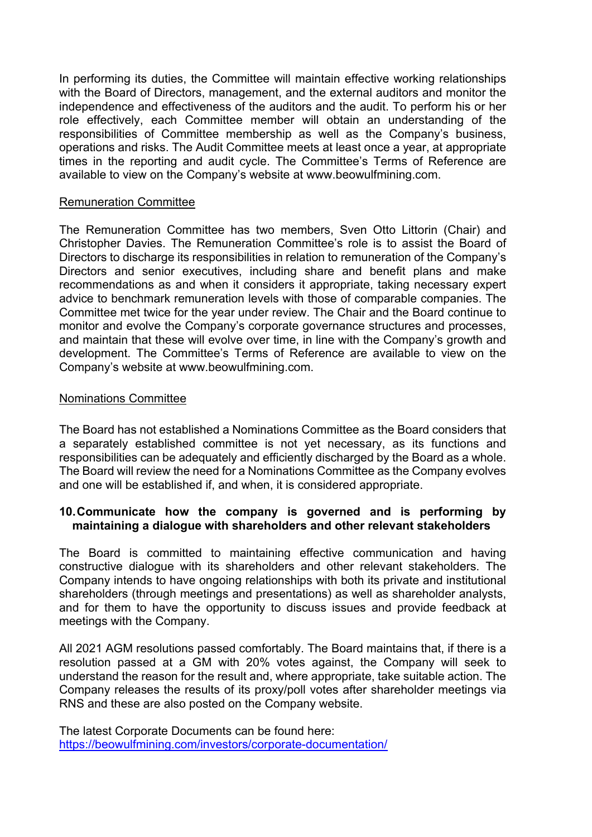In performing its duties, the Committee will maintain effective working relationships with the Board of Directors, management, and the external auditors and monitor the independence and effectiveness of the auditors and the audit. To perform his or her role effectively, each Committee member will obtain an understanding of the responsibilities of Committee membership as well as the Company's business, operations and risks. The Audit Committee meets at least once a year, at appropriate times in the reporting and audit cycle. The Committee's Terms of Reference are available to view on the Company's website at www.beowulfmining.com.

### Remuneration Committee

The Remuneration Committee has two members, Sven Otto Littorin (Chair) and Christopher Davies. The Remuneration Committee's role is to assist the Board of Directors to discharge its responsibilities in relation to remuneration of the Company's Directors and senior executives, including share and benefit plans and make recommendations as and when it considers it appropriate, taking necessary expert advice to benchmark remuneration levels with those of comparable companies. The Committee met twice for the year under review. The Chair and the Board continue to monitor and evolve the Company's corporate governance structures and processes, and maintain that these will evolve over time, in line with the Company's growth and development. The Committee's Terms of Reference are available to view on the Company's website at www.beowulfmining.com.

### Nominations Committee

The Board has not established a Nominations Committee as the Board considers that a separately established committee is not yet necessary, as its functions and responsibilities can be adequately and efficiently discharged by the Board as a whole. The Board will review the need for a Nominations Committee as the Company evolves and one will be established if, and when, it is considered appropriate.

## **10.Communicate how the company is governed and is performing by maintaining a dialogue with shareholders and other relevant stakeholders**

The Board is committed to maintaining effective communication and having constructive dialogue with its shareholders and other relevant stakeholders. The Company intends to have ongoing relationships with both its private and institutional shareholders (through meetings and presentations) as well as shareholder analysts, and for them to have the opportunity to discuss issues and provide feedback at meetings with the Company.

All 2021 AGM resolutions passed comfortably. The Board maintains that, if there is a resolution passed at a GM with 20% votes against, the Company will seek to understand the reason for the result and, where appropriate, take suitable action. The Company releases the results of its proxy/poll votes after shareholder meetings via RNS and these are also posted on the Company website.

The latest Corporate Documents can be found here: https://beowulfmining.com/investors/corporate-documentation/